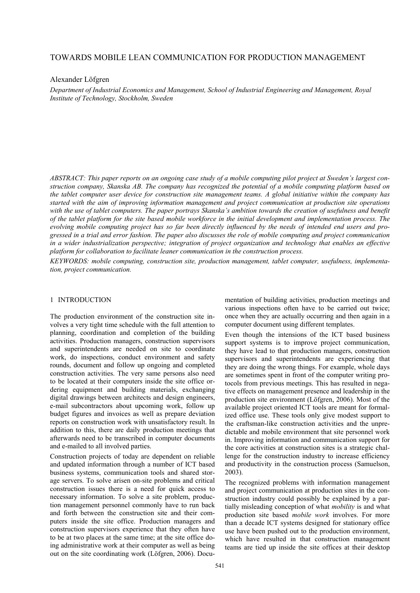# TOWARDS MOBILE LEAN COMMUNICATION FOR PRODUCTION MANAGEMENT

Alexander Löfgren

*Department of Industrial Economics and Management, School of Industrial Engineering and Management, Royal Institute of Technology, Stockholm, Sweden* 

*ABSTRACT: This paper reports on an ongoing case study of a mobile computing pilot project at Sweden's largest construction company, Skanska AB. The company has recognized the potential of a mobile computing platform based on the tablet computer user device for construction site management teams. A global initiative within the company has started with the aim of improving information management and project communication at production site operations*  with the use of tablet computers. The paper portrays Skanska's ambition towards the creation of usefulness and benefit *of the tablet platform for the site based mobile workforce in the initial development and implementation process. The evolving mobile computing project has so far been directly influenced by the needs of intended end users and progressed in a trial and error fashion. The paper also discusses the role of mobile computing and project communication in a wider industrialization perspective; integration of project organization and technology that enables an effective platform for collaboration to facilitate leaner communication in the construction process.* 

*KEYWORDS: mobile computing, construction site, production management, tablet computer, usefulness, implementation, project communication.* 

#### 1 INTRODUCTION

The production environment of the construction site involves a very tight time schedule with the full attention to planning, coordination and completion of the building activities. Production managers, construction supervisors and superintendents are needed on site to coordinate work, do inspections, conduct environment and safety rounds, document and follow up ongoing and completed construction activities. The very same persons also need to be located at their computers inside the site office ordering equipment and building materials, exchanging digital drawings between architects and design engineers. e-mail subcontractors about upcoming work, follow up budget figures and invoices as well as prepare deviation reports on construction work with unsatisfactory result. In addition to this, there are daily production meetings that afterwards need to be transcribed in computer documents and e-mailed to all involved parties.

Construction projects of today are dependent on reliable and updated information through a number of ICT based business systems, communication tools and shared storage servers. To solve arisen on-site problems and critical construction issues there is a need for quick access to necessary information. To solve a site problem, production management personnel commonly have to run back and forth between the construction site and their computers inside the site office. Production managers and construction supervisors experience that they often have to be at two places at the same time; at the site office doing administrative work at their computer as well as being out on the site coordinating work (Löfgren, 2006). Documentation of building activities, production meetings and various inspections often have to be carried out twice; once when they are actually occurring and then again in a computer document using different templates.

Even though the intensions of the ICT based business support systems is to improve project communication, they have lead to that production managers, construction supervisors and superintendents are experiencing that they are doing the wrong things. For example, whole days are sometimes spent in front of the computer writing protocols from previous meetings. This has resulted in negative effects on management presence and leadership in the production site environment (Löfgren, 2006). Most of the available project oriented ICT tools are meant for formalized office use. These tools only give modest support to the craftsman-like construction activities and the unpredictable and mobile environment that site personnel work in. Improving information and communication support for the core activities at construction sites is a strategic challenge for the construction industry to increase efficiency and productivity in the construction process (Samuelson, 2003).

The recognized problems with information management and project communication at production sites in the construction industry could possibly be explained by a partially misleading conception of what *mobility* is and what production site based *mobile work* involves. For more than a decade ICT systems designed for stationary office use have been pushed out to the production environment, which have resulted in that construction management teams are tied up inside the site offices at their desktop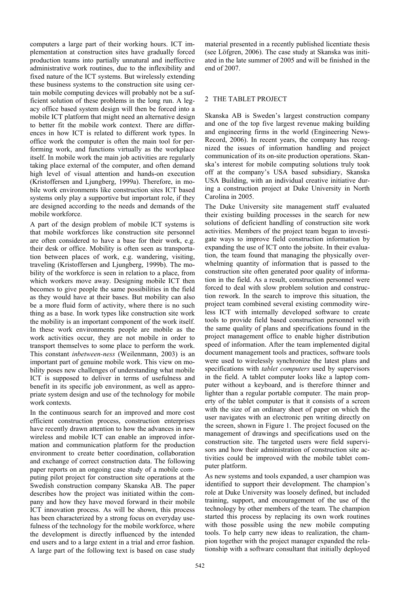office work the computer is often the main tool for performing work, and functions virtually as the workplace itself. In mobile work the main job activities are regularly taking place external of the computer, and often demand high level of visual attention and hands-on execution (Kristoffersen and Ljungberg, 1999a). Therefore, in mobile work environments like construction sites ICT based systems only play a supportive but important role, if they are designed according to the needs and demands of the mobile workforce. A part of the design problem of mobile ICT systems is that mobile workforces like construction site personnel are often considered to have a base for their work, e.g. their desk or office. Mobility is often seen as transportation between places of work, e.g. wandering, visiting, traveling (Kristoffersen and Ljungberg, 1999b). The mobility of the workforce is seen in relation to a place, from which workers move away. Designing mobile ICT then becomes to give people the same possibilities in the field as they would have at their bases. But mobility can also

computers a large part of their working hours. ICT implementation at construction sites have gradually forced production teams into partially unnatural and ineffective administrative work routines, due to the inflexibility and fixed nature of the ICT systems. But wirelessly extending these business systems to the construction site using certain mobile computing devices will probably not be a sufficient solution of these problems in the long run. A legacy office based system design will then be forced into a mobile ICT platform that might need an alternative design to better fit the mobile work context. There are differences in how ICT is related to different work types. In

be a more fluid form of activity, where there is no such thing as a base. In work types like construction site work the mobility is an important component of the work itself. In these work environments people are mobile as the work activities occur, they are not mobile in order to transport themselves to some place to perform the work. This constant *inbetween-ness* (Weilenmann, 2003) is an important part of genuine mobile work. This view on mobility poses new challenges of understanding what mobile ICT is supposed to deliver in terms of usefulness and benefit in its specific job environment, as well as appropriate system design and use of the technology for mobile work contexts.

In the continuous search for an improved and more cost efficient construction process, construction enterprises have recently drawn attention to how the advances in new wireless and mobile ICT can enable an improved information and communication platform for the production environment to create better coordination, collaboration and exchange of correct construction data. The following paper reports on an ongoing case study of a mobile computing pilot project for construction site operations at the Swedish construction company Skanska AB. The paper describes how the project was initiated within the company and how they have moved forward in their mobile ICT innovation process. As will be shown, this process has been characterized by a strong focus on everyday usefulness of the technology for the mobile workforce, where the development is directly influenced by the intended end users and to a large extent in a trial and error fashion. A large part of the following text is based on case study

material presented in a recently published licentiate thesis (see Löfgren, 2006). The case study at Skanska was initiated in the late summer of 2005 and will be finished in the end of 2007.

## 2 THE TABLET PROJECT

Skanska AB is Sweden's largest construction company and one of the top five largest revenue making building and engineering firms in the world (Engineering News-Record, 2006). In recent years, the company has recognized the issues of information handling and project communication of its on-site production operations. Skanska's interest for mobile computing solutions truly took off at the company's USA based subsidiary, Skanska USA Building, with an individual creative initiative during a construction project at Duke University in North Carolina in 2005.

The Duke University site management staff evaluated their existing building processes in the search for new solutions of deficient handling of construction site work activities. Members of the project team began to investigate ways to improve field construction information by expanding the use of ICT onto the jobsite. In their evaluation, the team found that managing the physically overwhelming quantity of information that is passed to the construction site often generated poor quality of information in the field. As a result, construction personnel were forced to deal with slow problem solution and construction rework. In the search to improve this situation, the project team combined several existing commodity wireless ICT with internally developed software to create tools to provide field based construction personnel with the same quality of plans and specifications found in the project management office to enable higher distribution speed of information. After the team implemented digital document management tools and practices, software tools were used to wirelessly synchronize the latest plans and specifications with *tablet computers* used by supervisors in the field. A tablet computer looks like a laptop computer without a keyboard, and is therefore thinner and lighter than a regular portable computer. The main property of the tablet computer is that it consists of a screen with the size of an ordinary sheet of paper on which the user navigates with an electronic pen writing directly on the screen, shown in Figure 1. The project focused on the management of drawings and specifications used on the construction site. The targeted users were field supervisors and how their administration of construction site activities could be improved with the mobile tablet computer platform.

As new systems and tools expanded, a user champion was identified to support their development. The champion's role at Duke University was loosely defined, but included training, support, and encouragement of the use of the technology by other members of the team. The champion started this process by replacing its own work routines with those possible using the new mobile computing tools. To help carry new ideas to realization, the champion together with the project manager expanded the relationship with a software consultant that initially deployed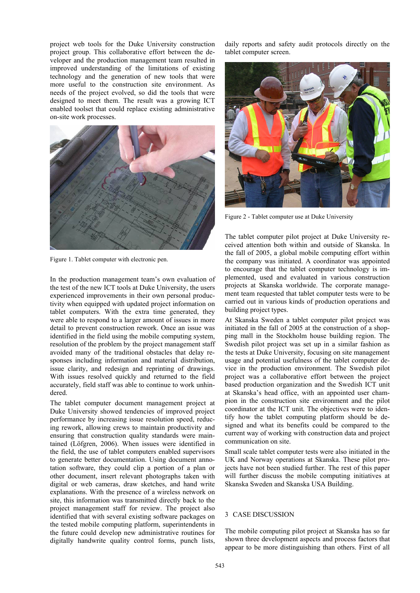project web tools for the Duke University construction project group. This collaborative effort between the developer and the production management team resulted in improved understanding of the limitations of existing technology and the generation of new tools that were more useful to the construction site environment. As needs of the project evolved, so did the tools that were designed to meet them. The result was a growing ICT enabled toolset that could replace existing administrative on-site work processes.



Figure 1. Tablet computer with electronic pen.

In the production management team's own evaluation of the test of the new ICT tools at Duke University, the users experienced improvements in their own personal productivity when equipped with updated project information on tablet computers. With the extra time generated, they were able to respond to a larger amount of issues in more detail to prevent construction rework. Once an issue was identified in the field using the mobile computing system, resolution of the problem by the project management staff avoided many of the traditional obstacles that delay responses including information and material distribution, issue clarity, and redesign and reprinting of drawings. With issues resolved quickly and returned to the field accurately, field staff was able to continue to work unhindered.

The tablet computer document management project at Duke University showed tendencies of improved project performance by increasing issue resolution speed, reducing rework, allowing crews to maintain productivity and ensuring that construction quality standards were maintained (Löfgren, 2006). When issues were identified in the field, the use of tablet computers enabled supervisors to generate better documentation. Using document annotation software, they could clip a portion of a plan or other document, insert relevant photographs taken with digital or web cameras, draw sketches, and hand write explanations. With the presence of a wireless network on site, this information was transmitted directly back to the project management staff for review. The project also identified that with several existing software packages on the tested mobile computing platform, superintendents in the future could develop new administrative routines for digitally handwrite quality control forms, punch lists,

daily reports and safety audit protocols directly on the tablet computer screen.



Figure 2 - Tablet computer use at Duke University

The tablet computer pilot project at Duke University received attention both within and outside of Skanska. In the fall of 2005, a global mobile computing effort within the company was initiated. A coordinator was appointed to encourage that the tablet computer technology is implemented, used and evaluated in various construction projects at Skanska worldwide. The corporate management team requested that tablet computer tests were to be carried out in various kinds of production operations and building project types.

At Skanska Sweden a tablet computer pilot project was initiated in the fall of 2005 at the construction of a shopping mall in the Stockholm house building region. The Swedish pilot project was set up in a similar fashion as the tests at Duke University, focusing on site management usage and potential usefulness of the tablet computer device in the production environment. The Swedish pilot project was a collaborative effort between the project based production organization and the Swedish ICT unit at Skanska's head office, with an appointed user champion in the construction site environment and the pilot coordinator at the ICT unit. The objectives were to identify how the tablet computing platform should be designed and what its benefits could be compared to the current way of working with construction data and project communication on site.

Small scale tablet computer tests were also initiated in the UK and Norway operations at Skanska. These pilot projects have not been studied further. The rest of this paper will further discuss the mobile computing initiatives at Skanska Sweden and Skanska USA Building.

#### 3 CASE DISCUSSION

The mobile computing pilot project at Skanska has so far shown three development aspects and process factors that appear to be more distinguishing than others. First of all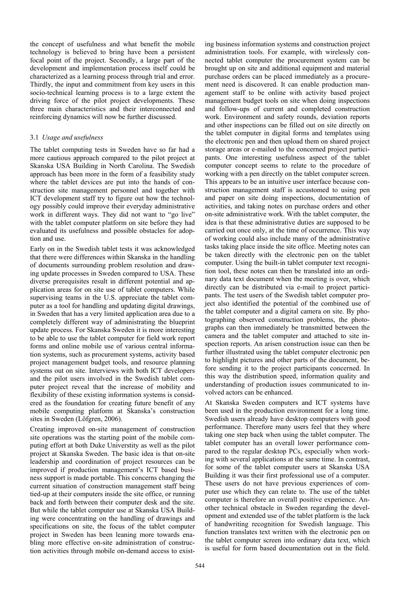the concept of usefulness and what benefit the mobile technology is believed to bring have been a persistent focal point of the project. Secondly, a large part of the development and implementation process itself could be characterized as a learning process through trial and error. Thirdly, the input and commitment from key users in this socio-technical learning process is to a large extent the driving force of the pilot project developments. These three main characteristics and their interconnected and reinforcing dynamics will now be further discussed.

#### 3.1 *Usage and usefulness*

The tablet computing tests in Sweden have so far had a more cautious approach compared to the pilot project at Skanska USA Building in North Carolina. The Swedish approach has been more in the form of a feasibility study where the tablet devices are put into the hands of construction site management personnel and together with ICT development staff try to figure out how the technology possibly could improve their everyday administrative work in different ways. They did not want to "go live" with the tablet computer platform on site before they had evaluated its usefulness and possible obstacles for adoption and use.

Early on in the Swedish tablet tests it was acknowledged that there were differences within Skanska in the handling of documents surrounding problem resolution and drawing update processes in Sweden compared to USA. These diverse prerequisites result in different potential and application areas for on site use of tablet computers. While supervising teams in the U.S. appreciate the tablet computer as a tool for handling and updating digital drawings, in Sweden that has a very limited application area due to a completely different way of administrating the blueprint update process. For Skanska Sweden it is more interesting to be able to use the tablet computer for field work report forms and online mobile use of various central information systems, such as procurement systems, activity based project management budget tools, and resource planning systems out on site. Interviews with both ICT developers and the pilot users involved in the Swedish tablet computer project reveal that the increase of mobility and flexibility of these existing information systems is considered as the foundation for creating future benefit of any mobile computing platform at Skanska's construction sites in Sweden (Löfgren, 2006).

Creating improved on-site management of construction site operations was the starting point of the mobile computing effort at both Duke Universtity as well as the pilot project at Skanska Sweden. The basic idea is that on-site leadership and coordination of project resources can be improved if production management's ICT based business support is made portable. This concerns changing the current situation of construction management staff being tied-up at their computers inside the site office, or running back and forth between their computer desk and the site. But while the tablet computer use at Skanska USA Building were concentrating on the handling of drawings and specifications on site, the focus of the tablet computer project in Sweden has been leaning more towards enabling more effective on-site administration of construction activities through mobile on-demand access to existing business information systems and construction project administration tools. For example, with wirelessly connected tablet computer the procurement system can be brought up on site and additional equipment and material purchase orders can be placed immediately as a procurement need is discovered. It can enable production management staff to be online with activity based project management budget tools on site when doing inspections and follow-ups of current and completed construction work. Environment and safety rounds, deviation reports and other inspections can be filled out on site directly on the tablet computer in digital forms and templates using the electronic pen and then upload them on shared project storage areas or e-mailed to the concerned project participants. One interesting usefulness aspect of the tablet computer concept seems to relate to the procedure of working with a pen directly on the tablet computer screen. This appears to be an intuitive user interface because construction management staff is accustomed to using pen and paper on site doing inspections, documentation of activities, and taking notes on purchase orders and other on-site administrative work. With the tablet computer, the idea is that these administrative duties are supposed to be carried out once only, at the time of occurrence. This way of working could also include many of the administrative tasks taking place inside the site office. Meeting notes can be taken directly with the electronic pen on the tablet computer. Using the built-in tablet computer text recognition tool, these notes can then be translated into an ordinary data text document when the meeting is over, which directly can be distributed via e-mail to project participants. The test users of the Swedish tablet computer project also identified the potential of the combined use of the tablet computer and a digital camera on site. By photographing observed construction problems, the photographs can then immediately be transmitted between the camera and the tablet computer and attached to site inspection reports. An arisen construction issue can then be further illustrated using the tablet computer electronic pen to highlight pictures and other parts of the document, before sending it to the project participants concerned. In this way the distribution speed, information quality and understanding of production issues communicated to involved actors can be enhanced.

At Skanska Sweden computers and ICT systems have been used in the production environment for a long time. Swedish users already have desktop computers with good performance. Therefore many users feel that they where taking one step back when using the tablet computer. The tablet computer has an overall lower performance compared to the regular desktop PCs, especially when working with several applications at the same time. In contrast, for some of the tablet computer users at Skanska USA Building it was their first professional use of a computer. These users do not have previous experiences of computer use which they can relate to. The use of the tablet computer is therefore an overall positive experience. Another technical obstacle in Sweden regarding the development and extended use of the tablet platform is the lack of handwriting recognition for Swedish language. This function translates text written with the electronic pen on the tablet computer screen into ordinary data text, which is useful for form based documentation out in the field.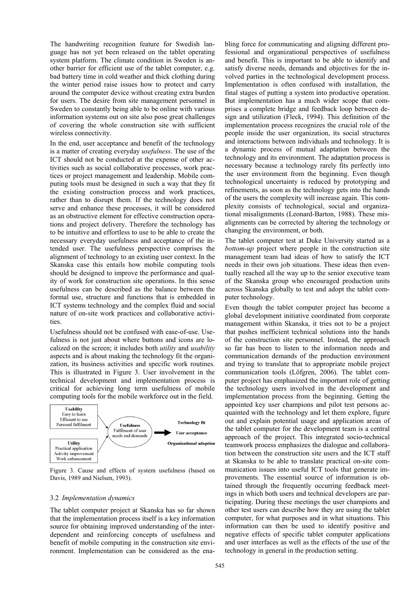The handwriting recognition feature for Swedish language has not yet been released on the tablet operating system platform. The climate condition in Sweden is another barrier for efficient use of the tablet computer, e.g. bad battery time in cold weather and thick clothing during the winter period raise issues how to protect and carry around the computer device without creating extra burden for users. The desire from site management personnel in Sweden to constantly being able to be online with various information systems out on site also pose great challenges of covering the whole construction site with sufficient wireless connectivity.

In the end, user acceptance and benefit of the technology is a matter of creating everyday *usefulness*. The use of the ICT should not be conducted at the expense of other activities such as social collaborative processes, work practices or project management and leadership. Mobile computing tools must be designed in such a way that they fit the existing construction process and work practices, rather than to disrupt them. If the technology does not serve and enhance these processes, it will be considered as an obstructive element for effective construction operations and project delivery. Therefore the technology has to be intuitive and effortless to use to be able to create the necessary everyday usefulness and acceptance of the intended user. The usefulness perspective comprises the alignment of technology to an existing user context. In the Skanska case this entails how mobile computing tools should be designed to improve the performance and quality of work for construction site operations. In this sense usefulness can be described as the balance between the formal use, structure and functions that is embedded in ICT systems technology and the complex fluid and social nature of on-site work practices and collaborative activities.

Usefulness should not be confused with ease-of-use. Usefulness is not just about where buttons and icons are localized on the screen; it includes both *utility* and *usability* aspects and is about making the technology fit the organization, its business activities and specific work routines. This is illustrated in Figure 3. User involvement in the technical development and implementation process is critical for achieving long term usefulness of mobile computing tools for the mobile workforce out in the field.



Figure 3. Cause and effects of system usefulness (based on Davis, 1989 and Nielsen, 1993).

#### 3.2 *Implementation dynamics*

The tablet computer project at Skanska has so far shown that the implementation process itself is a key information source for obtaining improved understanding of the interdependent and reinforcing concepts of usefulness and benefit of mobile computing in the construction site environment. Implementation can be considered as the ena-

bling force for communicating and aligning different professional and organizational perspectives of usefulness and benefit. This is important to be able to identify and satisfy diverse needs, demands and objectives for the involved parties in the technological development process. Implementation is often confused with installation, the final stages of putting a system into productive operation. But implementation has a much wider scope that comprises a complete bridge and feedback loop between design and utilization (Fleck, 1994). This definition of the implementation process recognizes the crucial role of the people inside the user organization, its social structures and interactions between individuals and technology. It is a dynamic process of mutual adaptation between the technology and its environment. The adaptation process is necessary because a technology rarely fits perfectly into the user environment from the beginning. Even though technological uncertainty is reduced by prototyping and refinements, as soon as the technology gets into the hands of the users the complexity will increase again. This complexity consists of technological, social and organizational misalignments (Leonard-Barton, 1988). These misalignments can be corrected by altering the technology or changing the environment, or both.

The tablet computer test at Duke University started as a *bottom-up* project where people in the construction site management team had ideas of how to satisfy the ICT needs in their own job situations. These ideas then eventually reached all the way up to the senior executive team of the Skanska group who encouraged production units across Skanska globally to test and adopt the tablet computer technology.

Even though the tablet computer project has become a global development initiative coordinated from corporate management within Skanska, it tries not to be a project that pushes inefficient technical solutions into the hands of the construction site personnel. Instead, the approach so far has been to listen to the information needs and communication demands of the production environment and trying to translate that to appropriate mobile project communication tools (Löfgren, 2006). The tablet computer project has emphasized the important role of getting the technology users involved in the development and implementation process from the beginning. Getting the appointed key user champions and pilot test persons acquainted with the technology and let them explore, figure out and explain potential usage and application areas of the tablet computer for the development team is a central approach of the project. This integrated socio-technical teamwork process emphasizes the dialogue and collaboration between the construction site users and the ICT staff at Skanska to be able to translate practical on-site communication issues into useful ICT tools that generate improvements. The essential source of information is obtained through the frequently occurring feedback meetings in which both users and technical developers are participating. During these meetings the user champions and other test users can describe how they are using the tablet computer, for what purposes and in what situations. This information can then be used to identify positive and negative effects of specific tablet computer applications and user interfaces as well as the effects of the use of the technology in general in the production setting.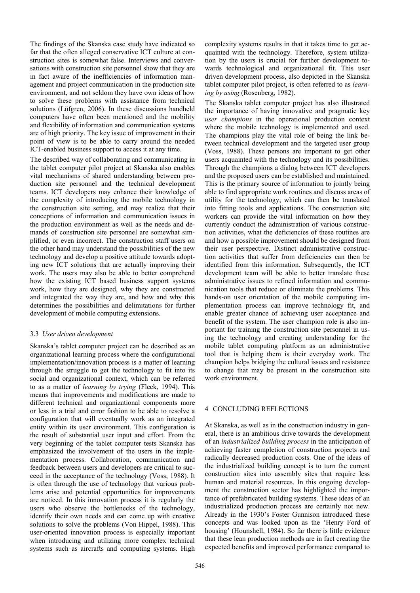The findings of the Skanska case study have indicated so far that the often alleged conservative ICT culture at construction sites is somewhat false. Interviews and conversations with construction site personnel show that they are in fact aware of the inefficiencies of information management and project communication in the production site environment, and not seldom they have own ideas of how to solve these problems with assistance from technical solutions (Löfgren, 2006). In these discussions handheld computers have often been mentioned and the mobility and flexibility of information and communication systems are of high priority. The key issue of improvement in their point of view is to be able to carry around the needed ICT-enabled business support to access it at any time.

The described way of collaborating and communicating in the tablet computer pilot project at Skanska also enables vital mechanisms of shared understanding between production site personnel and the technical development teams. ICT developers may enhance their knowledge of the complexity of introducing the mobile technology in the construction site setting, and may realize that their conceptions of information and communication issues in the production environment as well as the needs and demands of construction site personnel are somewhat simplified, or even incorrect. The construction staff users on the other hand may understand the possibilities of the new technology and develop a positive attitude towards adopting new ICT solutions that are actually improving their work. The users may also be able to better comprehend how the existing ICT based business support systems work, how they are designed, why they are constructed and integrated the way they are, and how and why this determines the possibilities and delimitations for further development of mobile computing extensions.

## 3.3 *User driven development*

Skanska's tablet computer project can be described as an organizational learning process where the configurational implementation/innovation process is a matter of learning through the struggle to get the technology to fit into its social and organizational context, which can be referred to as a matter of *learning by trying* (Fleck, 1994). This means that improvements and modifications are made to different technical and organizational components more or less in a trial and error fashion to be able to resolve a configuration that will eventually work as an integrated entity within its user environment. This configuration is the result of substantial user input and effort. From the very beginning of the tablet computer tests Skanska has emphasized the involvement of the users in the implementation process. Collaboration, communication and feedback between users and developers are critical to succeed in the acceptance of the technology (Voss, 1988). It is often through the use of technology that various problems arise and potential opportunities for improvements are noticed. In this innovation process it is regularly the users who observe the bottlenecks of the technology, identify their own needs and can come up with creative solutions to solve the problems (Von Hippel, 1988). This user-oriented innovation process is especially important when introducing and utilizing more complex technical systems such as aircrafts and computing systems. High complexity systems results in that it takes time to get acquainted with the technology. Therefore, system utilization by the users is crucial for further development towards technological and organizational fit. This user driven development process, also depicted in the Skanska tablet computer pilot project, is often referred to as *learning by using* (Rosenberg, 1982).

The Skanska tablet computer project has also illustrated the importance of having innovative and pragmatic key *user champions* in the operational production context where the mobile technology is implemented and used. The champions play the vital role of being the link between technical development and the targeted user group (Voss, 1988). These persons are important to get other users acquainted with the technology and its possibilities. Through the champions a dialog between ICT developers and the proposed users can be established and maintained. This is the primary source of information to jointly being able to find appropriate work routines and discuss areas of utility for the technology, which can then be translated into fitting tools and applications. The construction site workers can provide the vital information on how they currently conduct the administration of various construction activities, what the deficiencies of these routines are and how a possible improvement should be designed from their user perspective. Distinct administrative construction activities that suffer from deficiencies can then be identified from this information. Subsequently, the ICT development team will be able to better translate these administrative issues to refined information and communication tools that reduce or eliminate the problems. This hands-on user orientation of the mobile computing implementation process can improve technology fit, and enable greater chance of achieving user acceptance and benefit of the system. The user champion role is also important for training the construction site personnel in using the technology and creating understanding for the mobile tablet computing platform as an administrative tool that is helping them is their everyday work. The champion helps bridging the cultural issues and resistance to change that may be present in the construction site work environment.

## 4 CONCLUDING REFLECTIONS

At Skanska, as well as in the construction industry in general, there is an ambitious drive towards the development of an *industrialized building process* in the anticipation of achieving faster completion of construction projects and radically decreased production costs. One of the ideas of the industrialized building concept is to turn the current construction sites into assembly sites that require less human and material resources. In this ongoing development the construction sector has highlighted the importance of prefabricated building systems. These ideas of an industrialized production process are certainly not new. Already in the 1930's Foster Gunnison introduced these concepts and was looked upon as the 'Henry Ford of housing' (Hounshell, 1984). So far there is little evidence that these lean production methods are in fact creating the expected benefits and improved performance compared to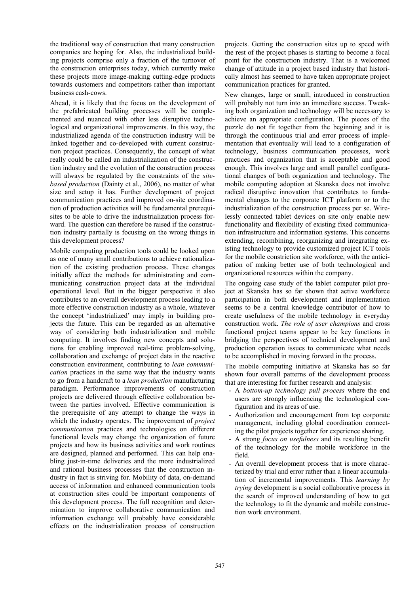the traditional way of construction that many construction companies are hoping for. Also, the industrialized building projects comprise only a fraction of the turnover of the construction enterprises today, which currently make these projects more image-making cutting-edge products towards customers and competitors rather than important business cash-cows.

Ahead, it is likely that the focus on the development of the prefabricated building processes will be complemented and nuanced with other less disruptive technological and organizational improvements. In this way, the industrialized agenda of the construction industry will be linked together and co-developed with current construction project practices. Consequently, the concept of what really could be called an industrialization of the construction industry and the evolution of the construction process will always be regulated by the constraints of the *sitebased production* (Dainty et al., 2006), no matter of what size and setup it has. Further development of project communication practices and improved on-site coordination of production activities will be fundamental prerequisites to be able to drive the industrialization process forward. The question can therefore be raised if the construction industry partially is focusing on the wrong things in this development process?

Mobile computing production tools could be looked upon as one of many small contributions to achieve rationalization of the existing production process. These changes initially affect the methods for administrating and communicating construction project data at the individual operational level. But in the bigger perspective it also contributes to an overall development process leading to a more effective construction industry as a whole, whatever the concept 'industrialized' may imply in building projects the future. This can be regarded as an alternative way of considering both industrialization and mobile computing. It involves finding new concepts and solutions for enabling improved real-time problem-solving, collaboration and exchange of project data in the reactive construction environment, contributing to *lean communication* practices in the same way that the industry wants to go from a handcraft to a *lean production* manufacturing paradigm. Performance improvements of construction projects are delivered through effective collaboration between the parties involved. Effective communication is the prerequisite of any attempt to change the ways in which the industry operates. The improvement of *project communication* practices and technologies on different functional levels may change the organization of future projects and how its business activities and work routines are designed, planned and performed. This can help enabling just-in-time deliveries and the more industrialized and rational business processes that the construction industry in fact is striving for. Mobility of data, on-demand access of information and enhanced communication tools at construction sites could be important components of this development process. The full recognition and determination to improve collaborative communication and information exchange will probably have considerable effects on the industrialization process of construction

projects. Getting the construction sites up to speed with the rest of the project phases is starting to become a focal point for the construction industry. That is a welcomed change of attitude in a project based industry that historically almost has seemed to have taken appropriate project communication practices for granted.

New changes, large or small, introduced in construction will probably not turn into an immediate success. Tweaking both organization and technology will be necessary to achieve an appropriate configuration. The pieces of the puzzle do not fit together from the beginning and it is through the continuous trial and error process of implementation that eventually will lead to a configuration of technology, business communication processes, work practices and organization that is acceptable and good enough. This involves large and small parallel configurational changes of both organization and technology. The mobile computing adoption at Skanska does not involve radical disruptive innovation that contributes to fundamental changes to the corporate ICT platform or to the industrialization of the construction process per se. Wirelessly connected tablet devices on site only enable new functionality and flexibility of existing fixed communication infrastructure and information systems. This concerns extending, recombining, reorganizing and integrating existing technology to provide customized project ICT tools for the mobile constriction site workforce, with the anticipation of making better use of both technological and organizational resources within the company.

The ongoing case study of the tablet computer pilot project at Skanska has so far shown that active workforce participation in both development and implementation seems to be a central knowledge contributor of how to create usefulness of the mobile technology in everyday construction work. *The role of user champions* and cross functional project teams appear to be key functions in bridging the perspectives of technical development and production operation issues to communicate what needs to be accomplished in moving forward in the process.

The mobile computing initiative at Skanska has so far shown four overall patterns of the development process that are interesting for further research and analysis:

- A *bottom-up technology pull process* where the end users are strongly influencing the technological configuration and its areas of use.
- Authorization and encouragement from top corporate management, including global coordination connecting the pilot projects together for experience sharing.
- A strong *focus on usefulness* and its resulting benefit of the technology for the mobile workforce in the field.
- An overall development process that is more characterized by trial and error rather than a linear accumulation of incremental improvements. This *learning by trying* development is a social collaborative process in the search of improved understanding of how to get the technology to fit the dynamic and mobile construction work environment.